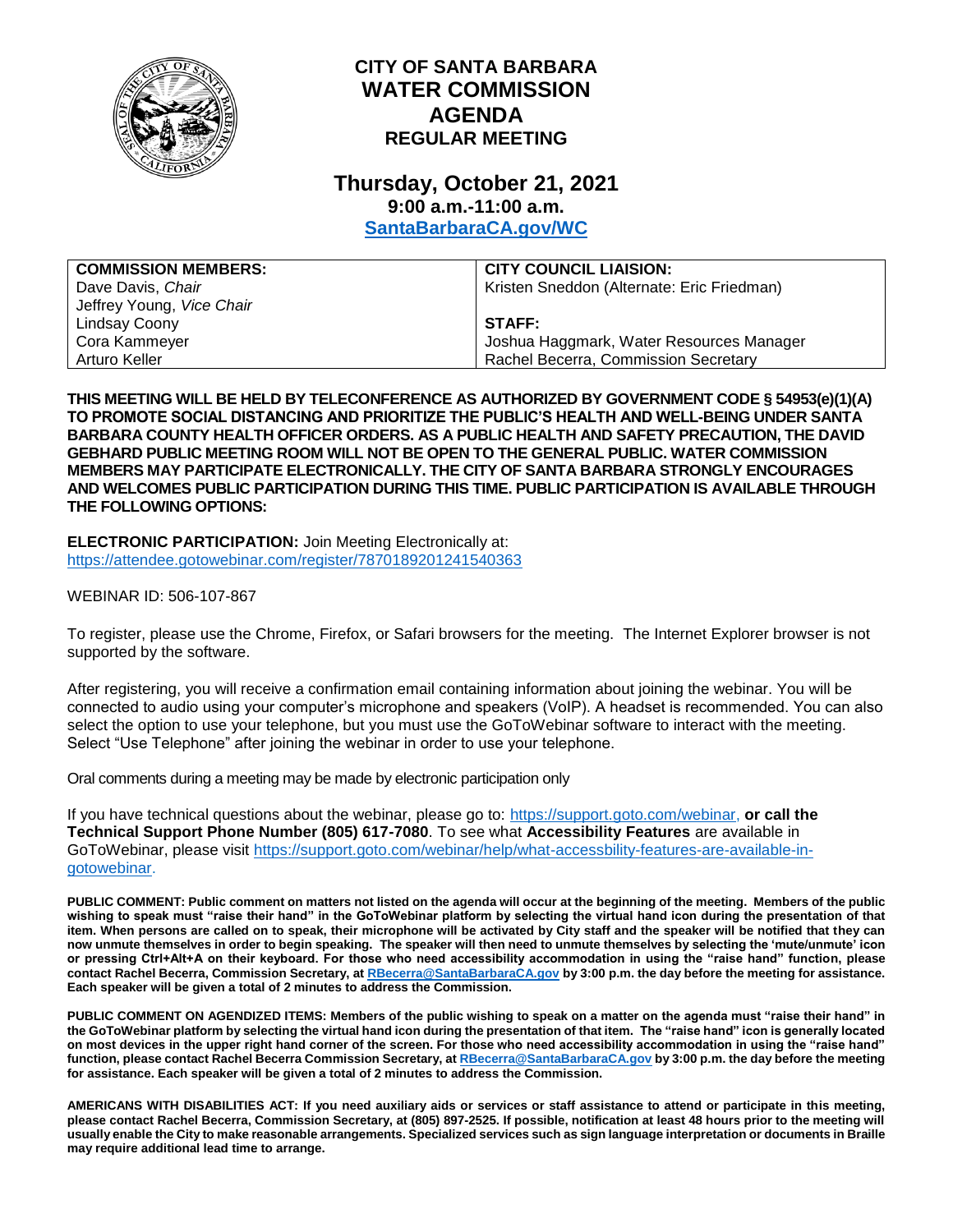

## **CITY OF SANTA BARBARA WATER COMMISSION AGENDA REGULAR MEETING**

## **Thursday, October 21, 2021 9:00 a.m.-11:00 a.m.**

**[SantaBarbaraCA.gov/WC](http://www.santabarbaraca.gov/wc)**

| <b>COMMISSION MEMBERS:</b> | <b>CITY COUNCIL LIAISION:</b>              |
|----------------------------|--------------------------------------------|
| Dave Davis, Chair          | Kristen Sneddon (Alternate: Eric Friedman) |
| Jeffrey Young, Vice Chair  |                                            |
| Lindsay Coony              | STAFF:                                     |
| Cora Kammeyer              | Joshua Haggmark, Water Resources Manager   |
| Arturo Keller              | Rachel Becerra, Commission Secretary       |

**THIS MEETING WILL BE HELD BY TELECONFERENCE AS AUTHORIZED BY GOVERNMENT CODE § 54953(e)(1)(A) TO PROMOTE SOCIAL DISTANCING AND PRIORITIZE THE PUBLIC'S HEALTH AND WELL-BEING UNDER SANTA BARBARA COUNTY HEALTH OFFICER ORDERS. AS A PUBLIC HEALTH AND SAFETY PRECAUTION, THE DAVID GEBHARD PUBLIC MEETING ROOM WILL NOT BE OPEN TO THE GENERAL PUBLIC. WATER COMMISSION MEMBERS MAY PARTICIPATE ELECTRONICALLY. THE CITY OF SANTA BARBARA STRONGLY ENCOURAGES AND WELCOMES PUBLIC PARTICIPATION DURING THIS TIME. PUBLIC PARTICIPATION IS AVAILABLE THROUGH THE FOLLOWING OPTIONS:**

**ELECTRONIC PARTICIPATION:** Join Meeting Electronically at: <https://attendee.gotowebinar.com/register/7870189201241540363>

WEBINAR ID: 506-107-867

To register, please use the Chrome, Firefox, or Safari browsers for the meeting. The Internet Explorer browser is not supported by the software.

After registering, you will receive a confirmation email containing information about joining the webinar. You will be connected to audio using your computer's microphone and speakers (VoIP). A headset is recommended. You can also select the option to use your telephone, but you must use the GoToWebinar software to interact with the meeting. Select "Use Telephone" after joining the webinar in order to use your telephone.

Oral comments during a meeting may be made by electronic participation only

If you have technical questions about the webinar, please go to: [https://support.goto.com/webinar,](https://support.goto.com/webinar) **or call the Technical Support Phone Number (805) 617-7080**. To see what **Accessibility Features** are available in GoToWebinar, please visit [https://support.goto.com/webinar/help/what-accessbility-features-are-available-in](https://support.goto.com/webinar/help/what-accessbility-features-are-available-in-gotowebinar)[gotowebinar.](https://support.goto.com/webinar/help/what-accessbility-features-are-available-in-gotowebinar)

**PUBLIC COMMENT: Public comment on matters not listed on the agenda will occur at the beginning of the meeting. Members of the public wishing to speak must "raise their hand" in the GoToWebinar platform by selecting the virtual hand icon during the presentation of that item. When persons are called on to speak, their microphone will be activated by City staff and the speaker will be notified that they can now unmute themselves in order to begin speaking. The speaker will then need to unmute themselves by selecting the 'mute/unmute' icon or pressing Ctrl+Alt+A on their keyboard. For those who need accessibility accommodation in using the "raise hand" function, please contact Rachel Becerra, Commission Secretary, a[t RBecerra@SantaBarbaraCA.gov](mailto:RBecerra@SantaBarbaraCA.gov) by 3:00 p.m. the day before the meeting for assistance. Each speaker will be given a total of 2 minutes to address the Commission.** 

**PUBLIC COMMENT ON AGENDIZED ITEMS: Members of the public wishing to speak on a matter on the agenda must "raise their hand" in the GoToWebinar platform by selecting the virtual hand icon during the presentation of that item. The "raise hand" icon is generally located on most devices in the upper right hand corner of the screen. For those who need accessibility accommodation in using the "raise hand" function, please contact Rachel Becerra Commission Secretary, a[t RBecerra@SantaBarbaraCA.gov](mailto:RBecerra@SantaBarbaraCA.gov) by 3:00 p.m. the day before the meeting for assistance. Each speaker will be given a total of 2 minutes to address the Commission.** 

**AMERICANS WITH DISABILITIES ACT: If you need auxiliary aids or services or staff assistance to attend or participate in this meeting, please contact Rachel Becerra, Commission Secretary, at (805) 897-2525. If possible, notification at least 48 hours prior to the meeting will usually enable the City to make reasonable arrangements. Specialized services such as sign language interpretation or documents in Braille may require additional lead time to arrange.**